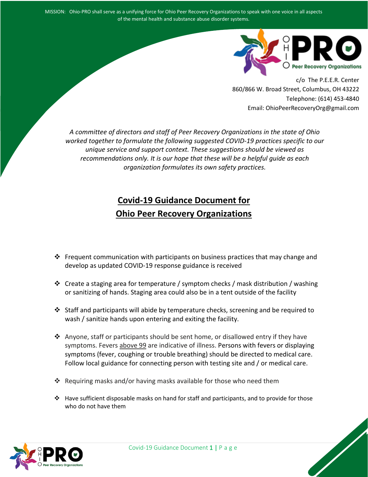MISSION: Ohio-PRO shall serve as a unifying force for Ohio Peer Recovery Organizations to speak with one voice in all aspects of the mental health and substance abuse disorder systems.



c/o The P.E.E.R. Center 860/866 W. Broad Street, Columbus, OH 43222 Telephone: (614) 453-4840 Email: OhioPeerRecoveryOrg@gmail.com

*A committee of directors and staff of Peer Recovery Organizations in the state of Ohio worked together to formulate the following suggested COVID-19 practices specific to our unique service and support context. These suggestions should be viewed as recommendations only. It is our hope that these will be a helpful guide as each organization formulates its own safety practices.*

# **Covid-19 Guidance Document for Ohio Peer Recovery Organizations**

- Frequent communication with participants on business practices that may change and develop as updated COVID-19 response guidance is received
- $\cdot$  Create a staging area for temperature / symptom checks / mask distribution / washing or sanitizing of hands. Staging area could also be in a tent outside of the facility
- $\cdot$  Staff and participants will abide by temperature checks, screening and be required to wash / sanitize hands upon entering and exiting the facility.
- $\clubsuit$  Anyone, staff or participants should be sent home, or disallowed entry if they have symptoms. Fevers above 99 are indicative of illness. Persons with fevers or displaying symptoms (fever, coughing or trouble breathing) should be directed to medical care. Follow local guidance for connecting person with testing site and / or medical care.
- $\cdot$  Requiring masks and/or having masks available for those who need them
- $\div$  Have sufficient disposable masks on hand for staff and participants, and to provide for those who do not have them

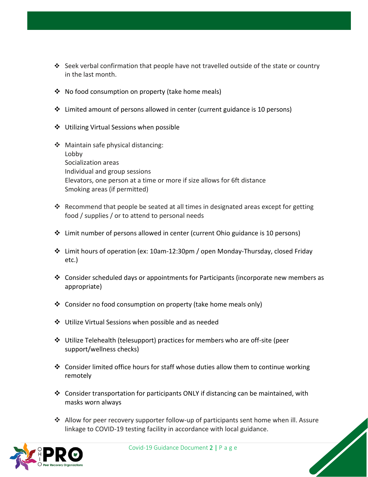- Seek verbal confirmation that people have not travelled outside of the state or country in the last month.
- No food consumption on property (take home meals)
- Limited amount of persons allowed in center (current guidance is 10 persons)
- ❖ Utilizing Virtual Sessions when possible
- ❖ Maintain safe physical distancing: Lobby Socialization areas Individual and group sessions Elevators, one person at a time or more if size allows for 6ft distance Smoking areas (if permitted)
- Recommend that people be seated at all times in designated areas except for getting food / supplies / or to attend to personal needs
- $\div$  Limit number of persons allowed in center (current Ohio guidance is 10 persons)
- Limit hours of operation (ex: 10am-12:30pm / open Monday-Thursday, closed Friday etc.)
- Consider scheduled days or appointments for Participants (incorporate new members as appropriate)
- Consider no food consumption on property (take home meals only)
- Utilize Virtual Sessions when possible and as needed
- Utilize Telehealth (telesupport) practices for members who are off-site (peer support/wellness checks)
- $\div$  Consider limited office hours for staff whose duties allow them to continue working remotely
- $\div$  Consider transportation for participants ONLY if distancing can be maintained, with masks worn always
- Allow for peer recovery supporter follow-up of participants sent home when ill. Assure linkage to COVID-19 testing facility in accordance with local guidance.



Covid-19 Guidance Document 2 | P a g e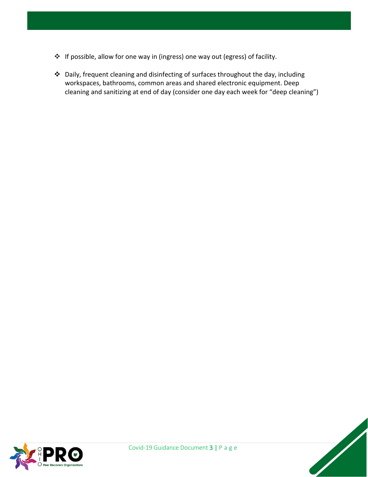- If possible, allow for one way in (ingress) one way out (egress) of facility.
- Daily, frequent cleaning and disinfecting of surfaces throughout the day, including workspaces, bathrooms, common areas and shared electronic equipment. Deep cleaning and sanitizing at end of day (consider one day each week for "deep cleaning")

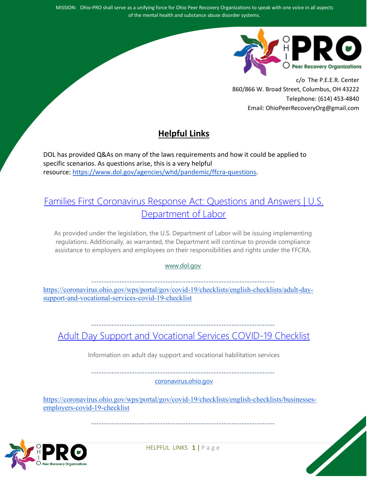MISSION: Ohio-PRO shall serve as a unifying force for Ohio Peer Recovery Organizations to speak with one voice in all aspects of the mental health and substance abuse disorder systems.



c/o The P.E.E.R. Center 860/866 W. Broad Street, Columbus, OH 43222 Telephone: (614) 453-4840 Email: OhioPeerRecoveryOrg@gmail.com

## **Helpful Links**

DOL has provided Q&As on many of the laws requirements and how it could be applied to specific scenarios. As questions arise, this is a very helpful resource: [https://www.dol.gov/agencies/whd/pandemic/ffcra-questions.](https://www.dol.gov/agencies/whd/pandemic/ffcra-questions)

#### [Families First Coronavirus Response Act: Questions and Answers | U.S.](https://www.dol.gov/agencies/whd/pandemic/ffcra-questions)  [Department of Labor](https://www.dol.gov/agencies/whd/pandemic/ffcra-questions)

As provided under the legislation, the U.S. Department of Labor will be issuing implementing regulations. Additionally, as warranted, the Department will continue to provide compliance assistance to employers and employees on their responsibilities and rights under the FFCRA.

[www.dol.gov](http://www.dol.gov/)

**------------------------------------------------------------------------**

[https://coronavirus.ohio.gov/wps/portal/gov/covid-19/checklists/english-checklists/adult-day](https://coronavirus.ohio.gov/wps/portal/gov/covid-19/checklists/english-checklists/adult-day-support-and-vocational-services-covid-19-checklist)[support-and-vocational-services-covid-19-checklist](https://coronavirus.ohio.gov/wps/portal/gov/covid-19/checklists/english-checklists/adult-day-support-and-vocational-services-covid-19-checklist)

**------------------------------------------------------------------------**

[Adult Day Support and Vocational Services COVID-19 Checklist](https://coronavirus.ohio.gov/wps/portal/gov/covid-19/checklists/english-checklists/adult-day-support-and-vocational-services-covid-19-checklist)

Information on adult day support and vocational habilitation services

**------------------------------------------------------------------------**

[coronavirus.ohio.gov](http://coronavirus.ohio.gov/)

[https://coronavirus.ohio.gov/wps/portal/gov/covid-19/checklists/english-checklists/businesses](https://coronavirus.ohio.gov/wps/portal/gov/covid-19/checklists/english-checklists/businesses-employers-covid-19-checklist)[employers-covid-19-checklist](https://coronavirus.ohio.gov/wps/portal/gov/covid-19/checklists/english-checklists/businesses-employers-covid-19-checklist)

**------------------------------------------------------------------------**

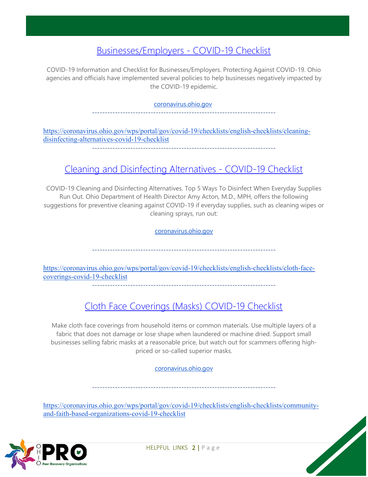### [Businesses/Employers -](https://coronavirus.ohio.gov/wps/portal/gov/covid-19/checklists/english-checklists/businesses-employers-covid-19-checklist) COVID-19 Checklist

COVID-19 Information and Checklist for Businesses/Employers. Protecting Against COVID-19. Ohio agencies and officials have implemented several policies to help businesses negatively impacted by the COVID-19 epidemic.

#### [coronavirus.ohio.gov](http://coronavirus.ohio.gov/)

**------------------------------------------------------------------------**

[https://coronavirus.ohio.gov/wps/portal/gov/covid-19/checklists/english-checklists/cleaning](https://coronavirus.ohio.gov/wps/portal/gov/covid-19/checklists/english-checklists/cleaning-disinfecting-alternatives-covid-19-checklist)[disinfecting-alternatives-covid-19-checklist](https://coronavirus.ohio.gov/wps/portal/gov/covid-19/checklists/english-checklists/cleaning-disinfecting-alternatives-covid-19-checklist)

**------------------------------------------------------------------------**

## [Cleaning and Disinfecting Alternatives -](https://coronavirus.ohio.gov/wps/portal/gov/covid-19/checklists/english-checklists/cleaning-disinfecting-alternatives-covid-19-checklist) COVID-19 Checklist

COVID-19 Cleaning and Disinfecting Alternatives. Top 5 Ways To Disinfect When Everyday Supplies Run Out. Ohio Department of Health Director Amy Acton, M.D., MPH, offers the following suggestions for preventive cleaning against COVID-19 if everyday supplies, such as cleaning wipes or cleaning sprays, run out:

[coronavirus.ohio.gov](http://coronavirus.ohio.gov/)

**------------------------------------------------------------------------**

[https://coronavirus.ohio.gov/wps/portal/gov/covid-19/checklists/english-checklists/cloth-face](https://coronavirus.ohio.gov/wps/portal/gov/covid-19/checklists/english-checklists/cloth-face-coverings-covid-19-checklist)[coverings-covid-19-checklist](https://coronavirus.ohio.gov/wps/portal/gov/covid-19/checklists/english-checklists/cloth-face-coverings-covid-19-checklist) **------------------------------------------------------------------------**

## [Cloth Face Coverings \(Masks\) COVID-19 Checklist](https://coronavirus.ohio.gov/wps/portal/gov/covid-19/checklists/english-checklists/cloth-face-coverings-covid-19-checklist)

Make cloth face coverings from household items or common materials. Use multiple layers of a fabric that does not damage or lose shape when laundered or machine dried. Support small businesses selling fabric masks at a reasonable price, but watch out for scammers offering highpriced or so-called superior masks.

[coronavirus.ohio.gov](http://coronavirus.ohio.gov/)

**------------------------------------------------------------------------**

[https://coronavirus.ohio.gov/wps/portal/gov/covid-19/checklists/english-checklists/community](https://coronavirus.ohio.gov/wps/portal/gov/covid-19/checklists/english-checklists/community-and-faith-based-organizations-covid-19-checklist)[and-faith-based-organizations-covid-19-checklist](https://coronavirus.ohio.gov/wps/portal/gov/covid-19/checklists/english-checklists/community-and-faith-based-organizations-covid-19-checklist)

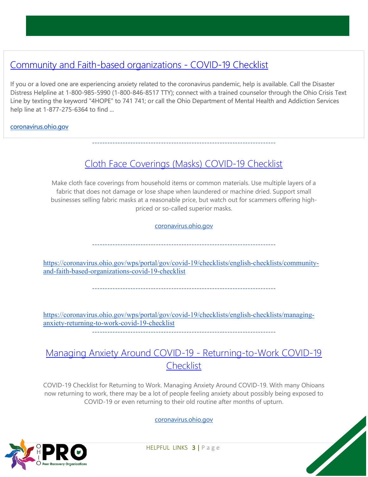## [Community and Faith-based organizations -](https://coronavirus.ohio.gov/wps/portal/gov/covid-19/checklists/english-checklists/community-and-faith-based-organizations-covid-19-checklist) COVID-19 Checklist

If you or a loved one are experiencing anxiety related to the coronavirus pandemic, help is available. Call the Disaster Distress Helpline at 1-800-985-5990 (1-800-846-8517 TTY); connect with a trained counselor through the Ohio Crisis Text Line by texting the keyword "4HOPE" to 741 741; or call the Ohio Department of Mental Health and Addiction Services help line at 1-877-275-6364 to find ...

#### [coronavirus.ohio.gov](http://coronavirus.ohio.gov/)

### [Cloth Face Coverings \(Masks\) COVID-19 Checklist](https://coronavirus.ohio.gov/wps/portal/gov/covid-19/checklists/english-checklists/cloth-face-coverings-covid-19-checklist)

**------------------------------------------------------------------------**

Make cloth face coverings from household items or common materials. Use multiple layers of a fabric that does not damage or lose shape when laundered or machine dried. Support small businesses selling fabric masks at a reasonable price, but watch out for scammers offering highpriced or so-called superior masks.

[coronavirus.ohio.gov](http://coronavirus.ohio.gov/)

**------------------------------------------------------------------------**

[https://coronavirus.ohio.gov/wps/portal/gov/covid-19/checklists/english-checklists/community](https://coronavirus.ohio.gov/wps/portal/gov/covid-19/checklists/english-checklists/community-and-faith-based-organizations-covid-19-checklist)[and-faith-based-organizations-covid-19-checklist](https://coronavirus.ohio.gov/wps/portal/gov/covid-19/checklists/english-checklists/community-and-faith-based-organizations-covid-19-checklist)

**------------------------------------------------------------------------**

[https://coronavirus.ohio.gov/wps/portal/gov/covid-19/checklists/english-checklists/managing](https://coronavirus.ohio.gov/wps/portal/gov/covid-19/checklists/english-checklists/managing-anxiety-returning-to-work-covid-19-checklist)[anxiety-returning-to-work-covid-19-checklist](https://coronavirus.ohio.gov/wps/portal/gov/covid-19/checklists/english-checklists/managing-anxiety-returning-to-work-covid-19-checklist)

**------------------------------------------------------------------------**

#### [Managing Anxiety Around COVID-19 -](https://coronavirus.ohio.gov/wps/portal/gov/covid-19/checklists/english-checklists/managing-anxiety-returning-to-work-covid-19-checklist) Returning-to-Work COVID-19 **[Checklist](https://coronavirus.ohio.gov/wps/portal/gov/covid-19/checklists/english-checklists/managing-anxiety-returning-to-work-covid-19-checklist)**

COVID-19 Checklist for Returning to Work. Managing Anxiety Around COVID-19. With many Ohioans now returning to work, there may be a lot of people feeling anxiety about possibly being exposed to COVID-19 or even returning to their old routine after months of upturn.

[coronavirus.ohio.gov](http://coronavirus.ohio.gov/)



HELPFUL LINKS 3 | Page